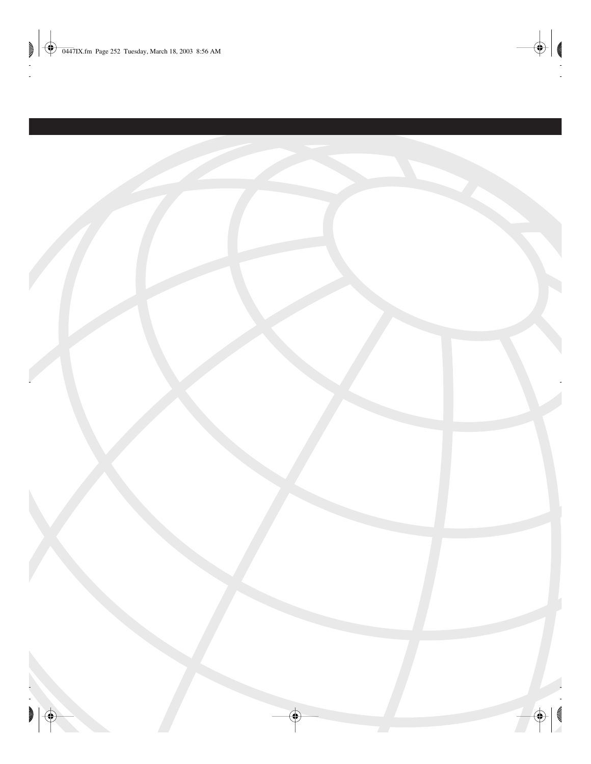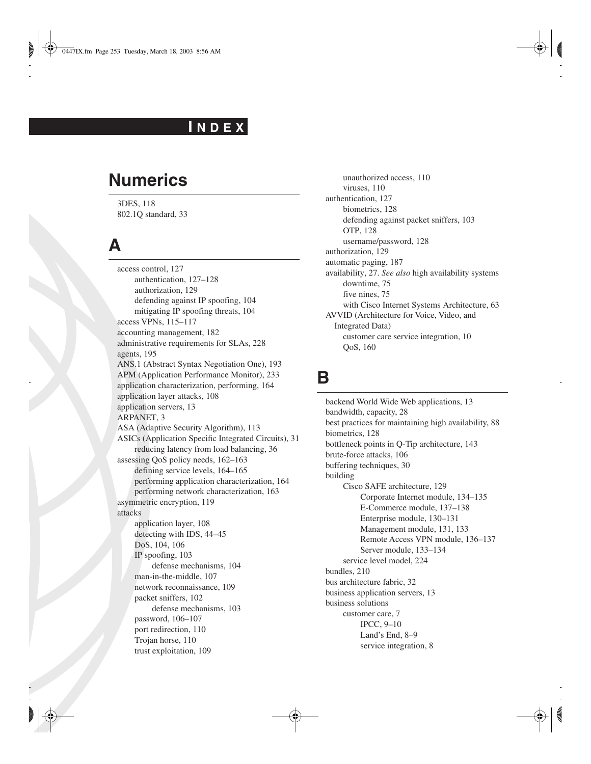#### **I N D E X**

#### **Numerics**

3DES, 118 802.1Q standard, 33

### **A**

access control, 127 authentication, 127–128 authorization, 129 defending against IP spoofing, 104 mitigating IP spoofing threats, 104 access VPNs, 115–117 accounting management, 182 administrative requirements for SLAs, 228 agents, 195 ANS.1 (Abstract Syntax Negotiation One), 193 APM (Application Performance Monitor), 233 application characterization, performing, 164 application layer attacks, 108 application servers, 13 ARPANET, 3 ASA (Adaptive Security Algorithm), 113 ASICs (Application Specific Integrated Circuits), 31 reducing latency from load balancing, 36 assessing QoS policy needs, 162–163 defining service levels, 164–165 performing application characterization, 164 performing network characterization, 163 asymmetric encryption, 119 attacks application layer, 108 detecting with IDS, 44–45 DoS, 104, 106 IP spoofing, 103 defense mechanisms, 104 man-in-the-middle, 107 network reconnaissance, 109 packet sniffers, 102 defense mechanisms, 103 password, 106–107 port redirection, 110 Trojan horse, 110 trust exploitation, 109

unauthorized access, 110 viruses, 110 authentication, 127 biometrics, 128 defending against packet sniffers, 103 OTP, 128 username/password, 128 authorization, 129 automatic paging, 187 availability, 27. *See also* high availability systems downtime, 75 five nines, 75 with Cisco Internet Systems Architecture, 63 AVVID (Architecture for Voice, Video, and Integrated Data) customer care service integration, 10 QoS, 160

#### **B**

backend World Wide Web applications, 13 bandwidth, capacity, 28 best practices for maintaining high availability, 88 biometrics, 128 bottleneck points in Q-Tip architecture, 143 brute-force attacks, 106 buffering techniques, 30 building Cisco SAFE architecture, 129 Corporate Internet module, 134–135 E-Commerce module, 137–138 Enterprise module, 130–131 Management module, 131, 133 Remote Access VPN module, 136–137 Server module, 133–134 service level model, 224 bundles, 210 bus architecture fabric, 32 business application servers, 13 business solutions customer care, 7 IPCC, 9–10 Land's End, 8–9 service integration, 8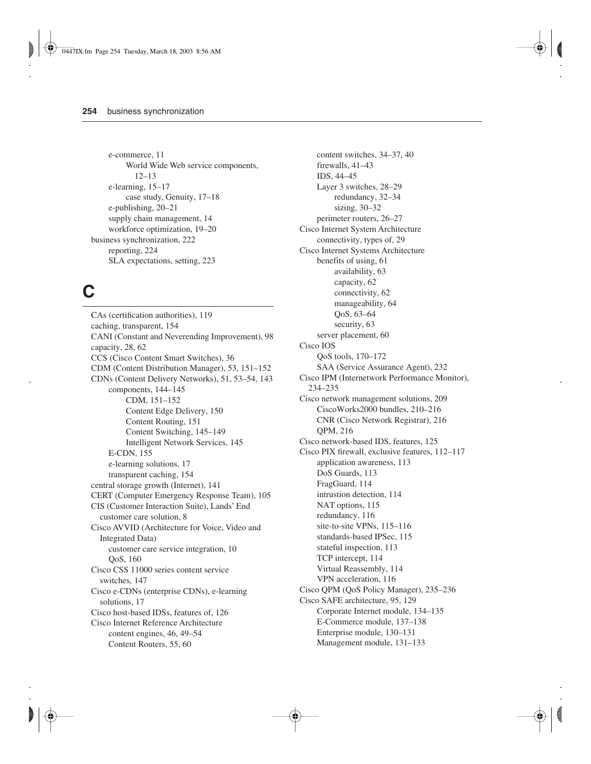e-commerce, 11 World Wide Web service components, 12–13 e-learning, 15–17 case study, Genuity, 17–18 e-publishing, 20–21 supply chain management, 14 workforce optimization, 19–20 business synchronization, 222 reporting, 224 SLA expectations, setting, 223

## **C**

CAs (certification authorities), 119 caching, transparent, 154 CANI (Constant and Neverending Improvement), 98 capacity, 28, 62 CCS (Cisco Content Smart Switches), 36 CDM (Content Distribution Manager), 53, 151–152 CDNs (Content Delivery Networks), 51, 53–54, 143 components, 144–145 CDM, 151–152 Content Edge Delivery, 150 Content Routing, 151 Content Switching, 145–149 Intelligent Network Services, 145 E-CDN, 155 e-learning solutions, 17 transparent caching, 154 central storage growth (Internet), 141 CERT (Computer Emergency Response Team), 105 CIS (Customer Interaction Suite), Lands' End customer care solution, 8 Cisco AVVID (Architecture for Voice, Video and Integrated Data) customer care service integration, 10 QoS, 160 Cisco CSS 11000 series content service switches, 147 Cisco e-CDNs (enterprise CDNs), e-learning solutions, 17 Cisco host-based IDSs, features of, 126 Cisco Internet Reference Architecture content engines, 46, 49–54 Content Routers, 55, 60

content switches, 34–37, 40 firewalls, 41–43 IDS, 44–45 Layer 3 switches, 28–29 redundancy, 32–34 sizing, 30–32 perimeter routers, 26–27 Cisco Internet System Architecture connectivity, types of, 29 Cisco Internet Systems Architecture benefits of using, 61 availability, 63 capacity, 62 connectivity, 62 manageability, 64 QoS, 63–64 security, 63 server placement, 60 Cisco IOS QoS tools, 170–172 SAA (Service Assurance Agent), 232 Cisco IPM (Internetwork Performance Monitor), 234–235 Cisco network management solutions, 209 CiscoWorks2000 bundles, 210–216 CNR (Cisco Network Registrar), 216 QPM, 216 Cisco network-based IDS, features, 125 Cisco PIX firewall, exclusive features, 112–117 application awareness, 113 DoS Guards, 113 FragGuard, 114 intrustion detection, 114 NAT options, 115 redundancy, 116 site-to-site VPNs, 115–116 standards-based IPSec, 115 stateful inspection, 113 TCP intercept, 114 Virtual Reassembly, 114 VPN acceleration, 116 Cisco QPM (QoS Policy Manager), 235–236 Cisco SAFE architecture, 95, 129 Corporate Internet module, 134–135 E-Commerce module, 137–138 Enterprise module, 130–131 Management module, 131–133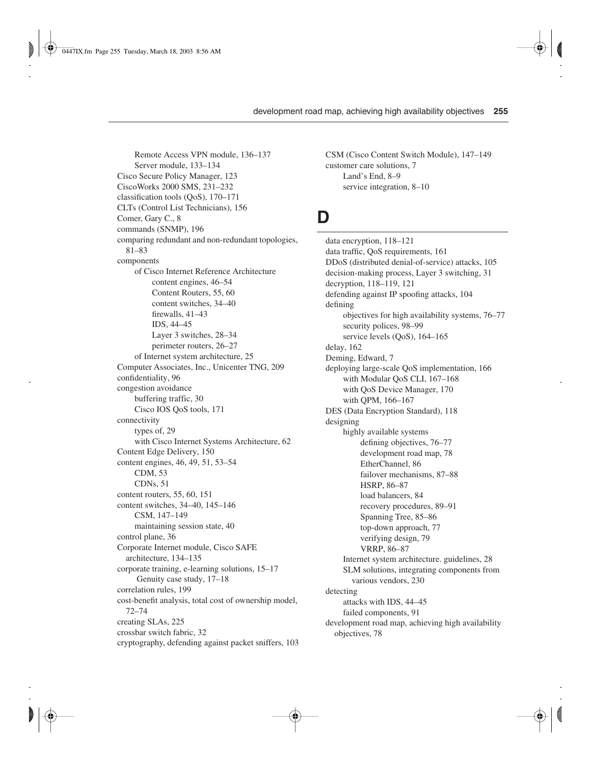Remote Access VPN module, 136–137 Server module, 133–134 Cisco Secure Policy Manager, 123 CiscoWorks 2000 SMS, 231–232 classification tools (QoS), 170–171 CLTs (Control List Technicians), 156 Comer, Gary C., 8 commands (SNMP), 196 comparing redundant and non-redundant topologies, 81–83 components of Cisco Internet Reference Architecture content engines, 46–54 Content Routers, 55, 60 content switches, 34–40 firewalls, 41–43 IDS, 44–45 Layer 3 switches, 28–34 perimeter routers, 26–27 of Internet system architecture, 25 Computer Associates, Inc., Unicenter TNG, 209 confidentiality, 96 congestion avoidance buffering traffic, 30 Cisco IOS QoS tools, 171 connectivity types of, 29 with Cisco Internet Systems Architecture, 62 Content Edge Delivery, 150 content engines, 46, 49, 51, 53–54 CDM, 53 CDNs, 51 content routers, 55, 60, 151 content switches, 34–40, 145–146 CSM, 147–149 maintaining session state, 40 control plane, 36 Corporate Internet module, Cisco SAFE architecture, 134–135 corporate training, e-learning solutions, 15–17 Genuity case study, 17–18 correlation rules, 199 cost-benefit analysis, total cost of ownership model, 72–74 creating SLAs, 225 crossbar switch fabric, 32 cryptography, defending against packet sniffers, 103 CSM (Cisco Content Switch Module), 147–149 customer care solutions, 7 Land's End, 8–9 service integration, 8–10

#### **D**

data encryption, 118–121 data traffic, QoS requirements, 161 DDoS (distributed denial-of-service) attacks, 105 decision-making process, Layer 3 switching, 31 decryption, 118–119, 121 defending against IP spoofing attacks, 104 defining objectives for high availability systems, 76–77 security polices, 98–99 service levels (QoS), 164–165 delay, 162 Deming, Edward, 7 deploying large-scale QoS implementation, 166 with Modular QoS CLI, 167–168 with QoS Device Manager, 170 with QPM, 166–167 DES (Data Encryption Standard), 118 designing highly available systems defining objectives, 76–77 development road map, 78 EtherChannel, 86 failover mechanisms, 87–88 HSRP, 86–87 load balancers, 84 recovery procedures, 89–91 Spanning Tree, 85–86 top-down approach, 77 verifying design, 79 VRRP, 86–87 Internet system architecture. guidelines, 28 SLM solutions, integrating components from various vendors, 230 detecting attacks with IDS, 44–45 failed components, 91 development road map, achieving high availability objectives, 78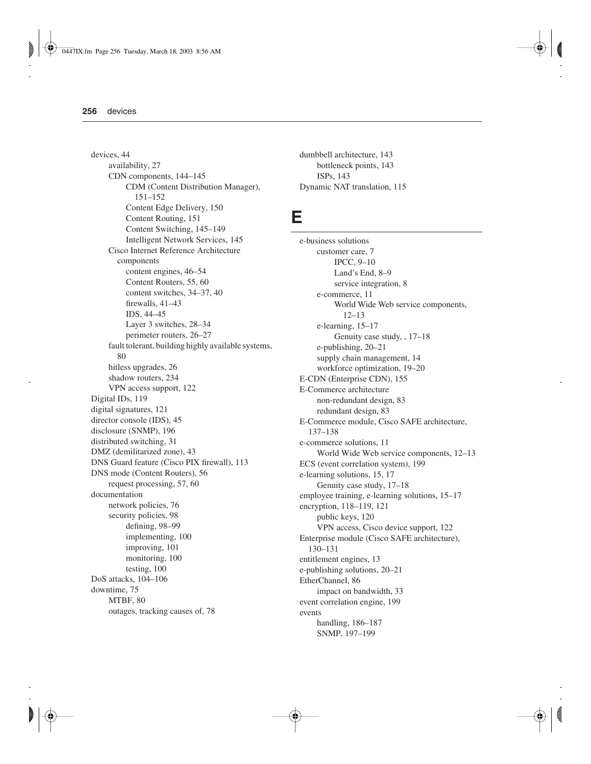devices, 44 availability, 27 CDN components, 144–145 CDM (Content Distribution Manager), 151–152 Content Edge Delivery, 150 Content Routing, 151 Content Switching, 145–149 Intelligent Network Services, 145 Cisco Internet Reference Architecture components content engines, 46–54 Content Routers, 55, 60 content switches, 34–37, 40 firewalls, 41–43 IDS, 44–45 Layer 3 switches, 28–34 perimeter routers, 26–27 fault tolerant, building highly available systems, 80 hitless upgrades, 26 shadow routers, 234 VPN access support, 122 Digital IDs, 119 digital signatures, 121 director console (IDS), 45 disclosure (SNMP), 196 distributed switching, 31 DMZ (demilitarized zone), 43 DNS Guard feature (Cisco PIX firewall), 113 DNS mode (Content Routers), 56 request processing, 57, 60 documentation network policies, 76 security policies, 98 defining, 98–99 implementing, 100 improving, 101 monitoring, 100 testing, 100 DoS attacks, 104–106 downtime, 75 MTBF, 80 outages, tracking causes of, 78

dumbbell architecture, 143 bottleneck points, 143 ISPs, 143 Dynamic NAT translation, 115

#### **E**

e-business solutions customer care, 7 IPCC, 9–10 Land's End, 8–9 service integration, 8 e-commerce, 11 World Wide Web service components, 12–13 e-learning, 15–17 Genuity case study, , 17–18 e-publishing, 20–21 supply chain management, 14 workforce optimization, 19–20 E-CDN (Enterprise CDN), 155 E-Commerce architecture non-redundant design, 83 redundant design, 83 E-Commerce module, Cisco SAFE architecture, 137–138 e-commerce solutions, 11 World Wide Web service components, 12–13 ECS (event correlation system), 199 e-learning solutions, 15, 17 Genuity case study, 17–18 employee training, e-learning solutions, 15–17 encryption, 118–119, 121 public keys, 120 VPN access, Cisco device support, 122 Enterprise module (Cisco SAFE architecture), 130–131 entitlement engines, 13 e-publishing solutions, 20–21 EtherChannel, 86 impact on bandwidth, 33 event correlation engine, 199 events handling, 186–187 SNMP, 197–199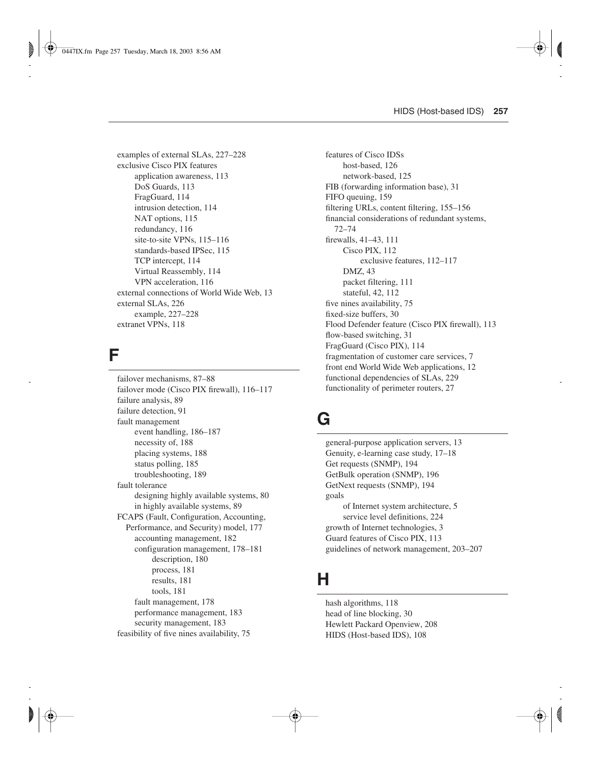examples of external SLAs, 227–228 exclusive Cisco PIX features application awareness, 113 DoS Guards, 113 FragGuard, 114 intrusion detection, 114 NAT options, 115 redundancy, 116 site-to-site VPNs, 115–116 standards-based IPSec, 115 TCP intercept, 114 Virtual Reassembly, 114 VPN acceleration, 116 external connections of World Wide Web, 13 external SLAs, 226 example, 227–228 extranet VPNs, 118

### **F**

failover mechanisms, 87–88 failover mode (Cisco PIX firewall), 116–117 failure analysis, 89 failure detection, 91 fault management event handling, 186–187 necessity of, 188 placing systems, 188 status polling, 185 troubleshooting, 189 fault tolerance designing highly available systems, 80 in highly available systems, 89 FCAPS (Fault, Configuration, Accounting, Performance, and Security) model, 177 accounting management, 182 configuration management, 178–181 description, 180 process, 181 results, 181 tools, 181 fault management, 178 performance management, 183 security management, 183 feasibility of five nines availability, 75

features of Cisco IDSs host-based, 126 network-based, 125 FIB (forwarding information base), 31 FIFO queuing, 159 filtering URLs, content filtering, 155–156 financial considerations of redundant systems, 72–74 firewalls, 41–43, 111 Cisco PIX, 112 exclusive features, 112–117 DMZ, 43 packet filtering, 111 stateful, 42, 112 five nines availability, 75 fixed-size buffers, 30 Flood Defender feature (Cisco PIX firewall), 113 flow-based switching, 31 FragGuard (Cisco PIX), 114 fragmentation of customer care services, 7 front end World Wide Web applications, 12 functional dependencies of SLAs, 229 functionality of perimeter routers, 27

#### **G**

general-purpose application servers, 13 Genuity, e-learning case study, 17–18 Get requests (SNMP), 194 GetBulk operation (SNMP), 196 GetNext requests (SNMP), 194 goals of Internet system architecture, 5 service level definitions, 224 growth of Internet technologies, 3 Guard features of Cisco PIX, 113 guidelines of network management, 203–207

### **H**

hash algorithms, 118 head of line blocking, 30 Hewlett Packard Openview, 208 HIDS (Host-based IDS), 108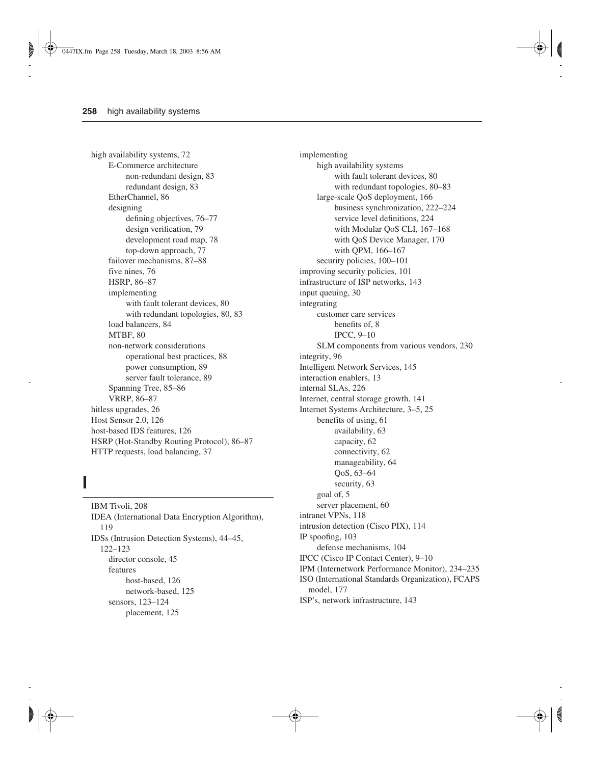high availability systems, 72 E-Commerce architecture non-redundant design, 83 redundant design, 83 EtherChannel, 86 designing defining objectives, 76–77 design verification, 79 development road map, 78 top-down approach, 77 failover mechanisms, 87–88 five nines, 76 HSRP, 86–87 implementing with fault tolerant devices, 80 with redundant topologies, 80, 83 load balancers, 84 MTBF, 80 non-network considerations operational best practices, 88 power consumption, 89 server fault tolerance, 89 Spanning Tree, 85–86 VRRP, 86–87 hitless upgrades, 26 Host Sensor 2.0, 126 host-based IDS features, 126 HSRP (Hot-Standby Routing Protocol), 86–87 HTTP requests, load balancing, 37

IBM Tivoli, 208 IDEA (International Data Encryption Algorithm), 119 IDSs (Intrusion Detection Systems), 44–45, 122–123 director console, 45 features host-based, 126 network-based, 125 sensors, 123–124 placement, 125

**I**

implementing high availability systems with fault tolerant devices, 80 with redundant topologies, 80–83 large-scale QoS deployment, 166 business synchronization, 222–224 service level definitions, 224 with Modular QoS CLI, 167–168 with QoS Device Manager, 170 with QPM, 166–167 security policies, 100–101 improving security policies, 101 infrastructure of ISP networks, 143 input queuing, 30 integrating customer care services benefits of, 8 IPCC, 9–10 SLM components from various vendors, 230 integrity, 96 Intelligent Network Services, 145 interaction enablers, 13 internal SLAs, 226 Internet, central storage growth, 141 Internet Systems Architecture, 3–5, 25 benefits of using, 61 availability, 63 capacity, 62 connectivity, 62 manageability, 64 QoS, 63–64 security, 63 goal of, 5 server placement, 60 intranet VPNs, 118 intrusion detection (Cisco PIX), 114 IP spoofing, 103 defense mechanisms, 104 IPCC (Cisco IP Contact Center), 9–10 IPM (Internetwork Performance Monitor), 234–235 ISO (International Standards Organization), FCAPS model, 177 ISP's, network infrastructure, 143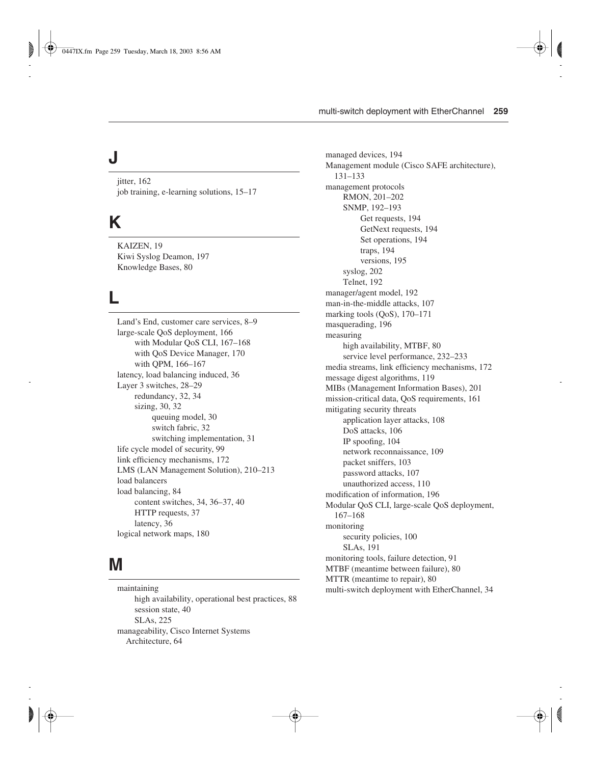# **J**

iitter, 162 job training, e-learning solutions, 15–17

### **K**

KAIZEN, 19 Kiwi Syslog Deamon, 197 Knowledge Bases, 80

### **L**

Land's End, customer care services, 8–9 large-scale QoS deployment, 166 with Modular QoS CLI, 167–168 with QoS Device Manager, 170 with QPM, 166–167 latency, load balancing induced, 36 Layer 3 switches, 28–29 redundancy, 32, 34 sizing, 30, 32 queuing model, 30 switch fabric, 32 switching implementation, 31 life cycle model of security, 99 link efficiency mechanisms, 172 LMS (LAN Management Solution), 210–213 load balancers load balancing, 84 content switches, 34, 36–37, 40 HTTP requests, 37 latency, 36 logical network maps, 180

## **M**

maintaining high availability, operational best practices, 88 session state, 40 SLAs, 225 manageability, Cisco Internet Systems Architecture, 64

managed devices, 194 Management module (Cisco SAFE architecture), 131–133 management protocols RMON, 201–202 SNMP, 192–193 Get requests, 194 GetNext requests, 194 Set operations, 194 traps, 194 versions, 195 syslog, 202 Telnet, 192 manager/agent model, 192 man-in-the-middle attacks, 107 marking tools (QoS), 170–171 masquerading, 196 measuring high availability, MTBF, 80 service level performance, 232–233 media streams, link efficiency mechanisms, 172 message digest algorithms, 119 MIBs (Management Information Bases), 201 mission-critical data, QoS requirements, 161 mitigating security threats application layer attacks, 108 DoS attacks, 106 IP spoofing, 104 network reconnaissance, 109 packet sniffers, 103 password attacks, 107 unauthorized access, 110 modification of information, 196 Modular QoS CLI, large-scale QoS deployment, 167–168 monitoring security policies, 100 SLAs, 191 monitoring tools, failure detection, 91 MTBF (meantime between failure), 80 MTTR (meantime to repair), 80 multi-switch deployment with EtherChannel, 34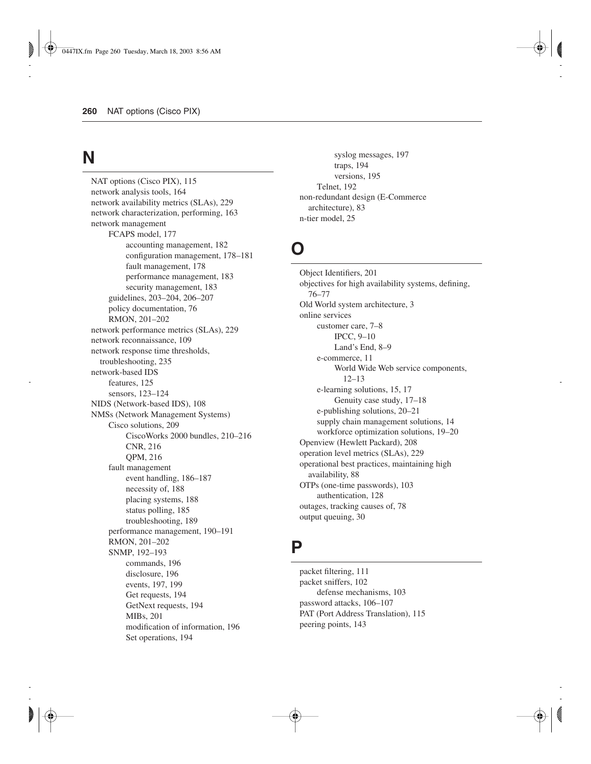## **N**

NAT options (Cisco PIX), 115 network analysis tools, 164 network availability metrics (SLAs), 229 network characterization, performing, 163 network management FCAPS model, 177 accounting management, 182 configuration management, 178–181 fault management, 178 performance management, 183 security management, 183 guidelines, 203–204, 206–207 policy documentation, 76 RMON, 201–202 network performance metrics (SLAs), 229 network reconnaissance, 109 network response time thresholds, troubleshooting, 235 network-based IDS features, 125 sensors, 123–124 NIDS (Network-based IDS), 108 NMSs (Network Management Systems) Cisco solutions, 209 CiscoWorks 2000 bundles, 210–216 CNR, 216 QPM, 216 fault management event handling, 186–187 necessity of, 188 placing systems, 188 status polling, 185 troubleshooting, 189 performance management, 190–191 RMON, 201–202 SNMP, 192–193 commands, 196 disclosure, 196 events, 197, 199 Get requests, 194 GetNext requests, 194 MIBs, 201 modification of information, 196 Set operations, 194

syslog messages, 197 traps, 194 versions, 195 Telnet, 192 non-redundant design (E-Commerce architecture), 83 n-tier model, 25

## **O**

Object Identifiers, 201 objectives for high availability systems, defining, 76–77 Old World system architecture, 3 online services customer care, 7–8 IPCC, 9–10 Land's End, 8–9 e-commerce, 11 World Wide Web service components, 12–13 e-learning solutions, 15, 17 Genuity case study, 17–18 e-publishing solutions, 20–21 supply chain management solutions, 14 workforce optimization solutions, 19–20 Openview (Hewlett Packard), 208 operation level metrics (SLAs), 229 operational best practices, maintaining high availability, 88 OTPs (one-time passwords), 103 authentication, 128 outages, tracking causes of, 78 output queuing, 30

#### **P**

packet filtering, 111 packet sniffers, 102 defense mechanisms, 103 password attacks, 106–107 PAT (Port Address Translation), 115 peering points, 143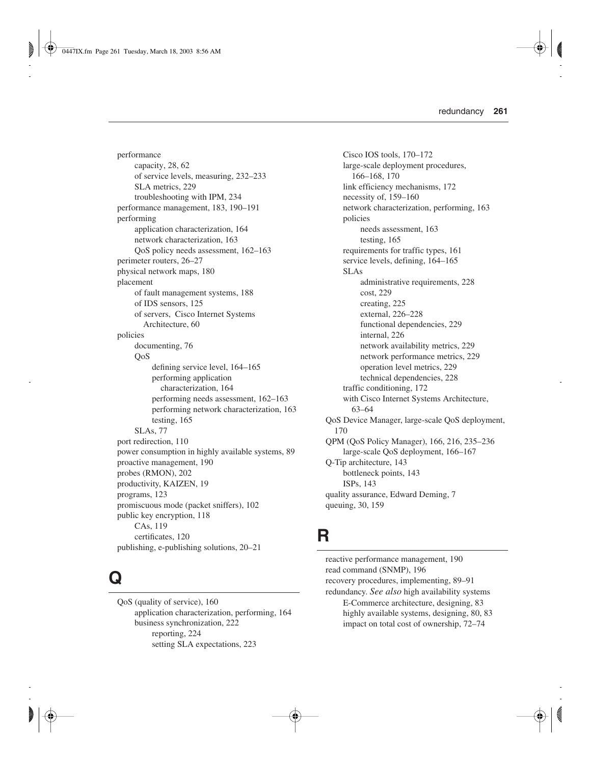performance capacity, 28, 62 of service levels, measuring, 232–233 SLA metrics, 229 troubleshooting with IPM, 234 performance management, 183, 190–191 performing application characterization, 164 network characterization, 163 QoS policy needs assessment, 162–163 perimeter routers, 26–27 physical network maps, 180 placement of fault management systems, 188 of IDS sensors, 125 of servers, Cisco Internet Systems Architecture, 60 policies documenting, 76 QoS defining service level, 164–165 performing application characterization, 164 performing needs assessment, 162–163 performing network characterization, 163 testing, 165 SLAs, 77 port redirection, 110 power consumption in highly available systems, 89 proactive management, 190 probes (RMON), 202 productivity, KAIZEN, 19 programs, 123 promiscuous mode (packet sniffers), 102 public key encryption, 118 CAs, 119 certificates, 120 publishing, e-publishing solutions, 20–21

## **Q**

QoS (quality of service), 160 application characterization, performing, 164 business synchronization, 222 reporting, 224 setting SLA expectations, 223

Cisco IOS tools, 170–172 large-scale deployment procedures, 166–168, 170 link efficiency mechanisms, 172 necessity of, 159–160 network characterization, performing, 163 policies needs assessment, 163 testing, 165 requirements for traffic types, 161 service levels, defining, 164–165 SLAs administrative requirements, 228 cost, 229 creating, 225 external, 226–228 functional dependencies, 229 internal, 226 network availability metrics, 229 network performance metrics, 229 operation level metrics, 229 technical dependencies, 228 traffic conditioning, 172 with Cisco Internet Systems Architecture, 63–64 QoS Device Manager, large-scale QoS deployment, 170 QPM (QoS Policy Manager), 166, 216, 235–236 large-scale QoS deployment, 166–167 Q-Tip architecture, 143 bottleneck points, 143 ISPs, 143 quality assurance, Edward Deming, 7 queuing, 30, 159

#### **R**

reactive performance management, 190 read command (SNMP), 196 recovery procedures, implementing, 89–91 redundancy. *See also* high availability systems E-Commerce architecture, designing, 83 highly available systems, designing, 80, 83 impact on total cost of ownership, 72–74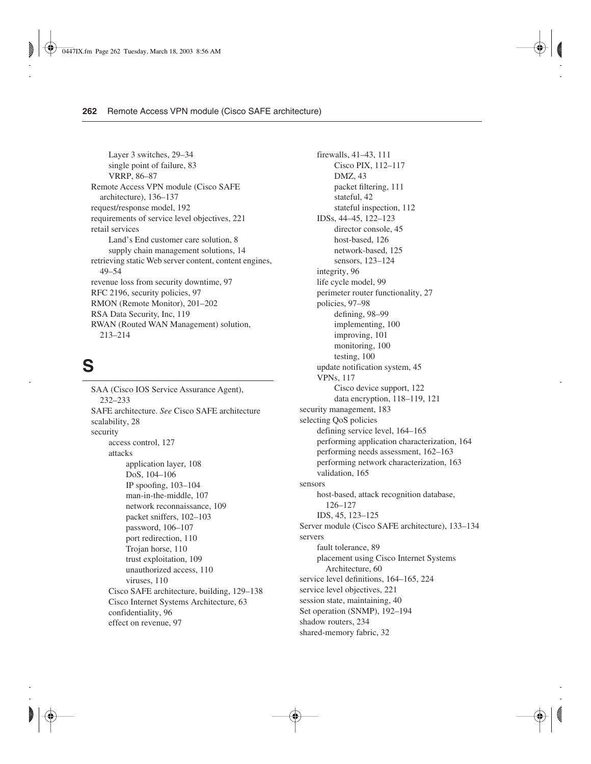Layer 3 switches, 29–34 single point of failure, 83 VRRP, 86–87 Remote Access VPN module (Cisco SAFE architecture), 136–137 request/response model, 192 requirements of service level objectives, 221 retail services Land's End customer care solution, 8 supply chain management solutions, 14 retrieving static Web server content, content engines, 49–54 revenue loss from security downtime, 97 RFC 2196, security policies, 97 RMON (Remote Monitor), 201–202 RSA Data Security, Inc, 119 RWAN (Routed WAN Management) solution, 213–214

## **S**

SAA (Cisco IOS Service Assurance Agent), 232–233 SAFE architecture. *See* Cisco SAFE architecture scalability, 28 security access control, 127 attacks application layer, 108 DoS, 104–106 IP spoofing, 103–104 man-in-the-middle, 107 network reconnaissance, 109 packet sniffers, 102–103 password, 106–107 port redirection, 110 Trojan horse, 110 trust exploitation, 109 unauthorized access, 110 viruses, 110 Cisco SAFE architecture, building, 129–138 Cisco Internet Systems Architecture, 63 confidentiality, 96 effect on revenue, 97

firewalls, 41–43, 111 Cisco PIX, 112–117 DMZ, 43 packet filtering, 111 stateful, 42 stateful inspection, 112 IDSs, 44–45, 122–123 director console, 45 host-based, 126 network-based, 125 sensors, 123–124 integrity, 96 life cycle model, 99 perimeter router functionality, 27 policies, 97–98 defining, 98–99 implementing, 100 improving, 101 monitoring, 100 testing, 100 update notification system, 45 VPNs, 117 Cisco device support, 122 data encryption, 118–119, 121 security management, 183 selecting QoS policies defining service level, 164–165 performing application characterization, 164 performing needs assessment, 162–163 performing network characterization, 163 validation, 165 sensors host-based, attack recognition database, 126–127 IDS, 45, 123–125 Server module (Cisco SAFE architecture), 133–134 servers fault tolerance, 89 placement using Cisco Internet Systems Architecture, 60 service level definitions, 164–165, 224 service level objectives, 221 session state, maintaining, 40 Set operation (SNMP), 192–194 shadow routers, 234 shared-memory fabric, 32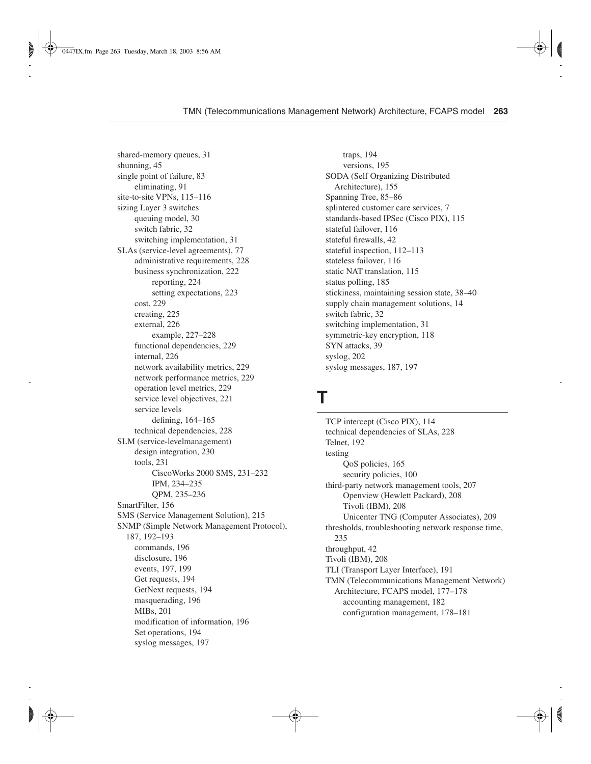shared-memory queues, 31 shunning, 45 single point of failure, 83 eliminating, 91 site-to-site VPNs, 115–116 sizing Layer 3 switches queuing model, 30 switch fabric, 32 switching implementation, 31 SLAs (service-level agreements), 77 administrative requirements, 228 business synchronization, 222 reporting, 224 setting expectations, 223 cost, 229 creating, 225 external, 226 example, 227–228 functional dependencies, 229 internal, 226 network availability metrics, 229 network performance metrics, 229 operation level metrics, 229 service level objectives, 221 service levels defining, 164–165 technical dependencies, 228 SLM (service-levelmanagement) design integration, 230 tools, 231 CiscoWorks 2000 SMS, 231–232 IPM, 234–235 QPM, 235–236 SmartFilter, 156 SMS (Service Management Solution), 215 SNMP (Simple Network Management Protocol), 187, 192–193 commands, 196 disclosure, 196 events, 197, 199 Get requests, 194 GetNext requests, 194 masquerading, 196 MIBs, 201 modification of information, 196 Set operations, 194 syslog messages, 197

traps, 194 versions, 195 SODA (Self Organizing Distributed Architecture), 155 Spanning Tree, 85–86 splintered customer care services, 7 standards-based IPSec (Cisco PIX), 115 stateful failover, 116 stateful firewalls, 42 stateful inspection, 112–113 stateless failover, 116 static NAT translation, 115 status polling, 185 stickiness, maintaining session state, 38–40 supply chain management solutions, 14 switch fabric, 32 switching implementation, 31 symmetric-key encryption, 118 SYN attacks, 39 syslog, 202 syslog messages, 187, 197

### **T**

TCP intercept (Cisco PIX), 114 technical dependencies of SLAs, 228 Telnet, 192 testing QoS policies, 165 security policies, 100 third-party network management tools, 207 Openview (Hewlett Packard), 208 Tivoli (IBM), 208 Unicenter TNG (Computer Associates), 209 thresholds, troubleshooting network response time, 235 throughput, 42 Tivoli (IBM), 208 TLI (Transport Layer Interface), 191 TMN (Telecommunications Management Network) Architecture, FCAPS model, 177–178 accounting management, 182 configuration management, 178–181